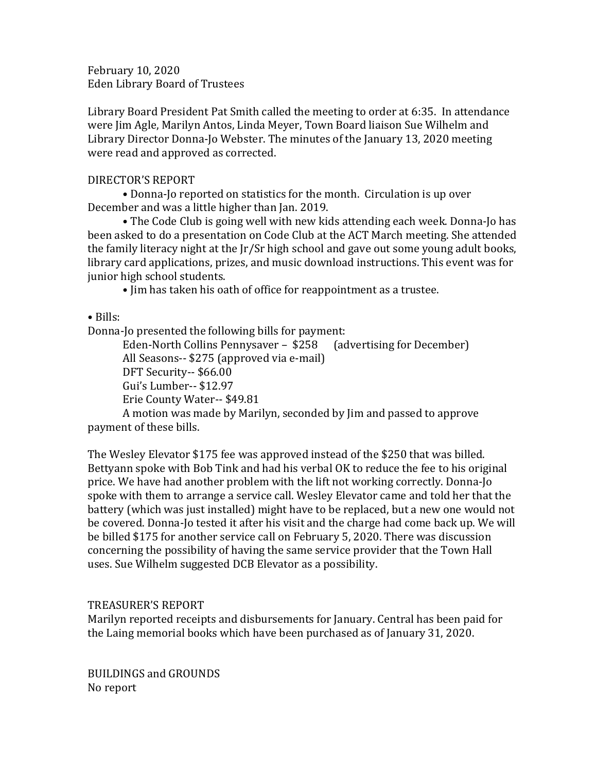February 10, 2020 Eden Library Board of Trustees

Library Board President Pat Smith called the meeting to order at 6:35. In attendance were Jim Agle, Marilyn Antos, Linda Meyer, Town Board liaison Sue Wilhelm and Library Director Donna-Jo Webster. The minutes of the January 13, 2020 meeting were read and approved as corrected.

## DIRECTOR'S REPORT

• Donna-Jo reported on statistics for the month. Circulation is up over December and was a little higher than Jan. 2019.

• The Code Club is going well with new kids attending each week. Donna-Jo has been asked to do a presentation on Code Club at the ACT March meeting. She attended the family literacy night at the Jr/Sr high school and gave out some young adult books, library card applications, prizes, and music download instructions. This event was for junior high school students.

• Jim has taken his oath of office for reappointment as a trustee.

• Bills:

Donna-Jo presented the following bills for payment:

Eden-North Collins Pennysaver – \$258 (advertising for December) All Seasons-- \$275 (approved via e-mail) DFT Security-- \$66.00 Gui's Lumber-- \$12.97 Erie County Water-- \$49.81 A motion was made by Marilyn, seconded by Jim and passed to approve

payment of these bills.

The Wesley Elevator \$175 fee was approved instead of the \$250 that was billed. Bettyann spoke with Bob Tink and had his verbal OK to reduce the fee to his original price. We have had another problem with the lift not working correctly. Donna-Jo spoke with them to arrange a service call. Wesley Elevator came and told her that the battery (which was just installed) might have to be replaced, but a new one would not be covered. Donna-Jo tested it after his visit and the charge had come back up. We will be billed \$175 for another service call on February 5, 2020. There was discussion concerning the possibility of having the same service provider that the Town Hall uses. Sue Wilhelm suggested DCB Elevator as a possibility.

## TREASURER'S REPORT

Marilyn reported receipts and disbursements for January. Central has been paid for the Laing memorial books which have been purchased as of January 31, 2020.

BUILDINGS and GROUNDS No report